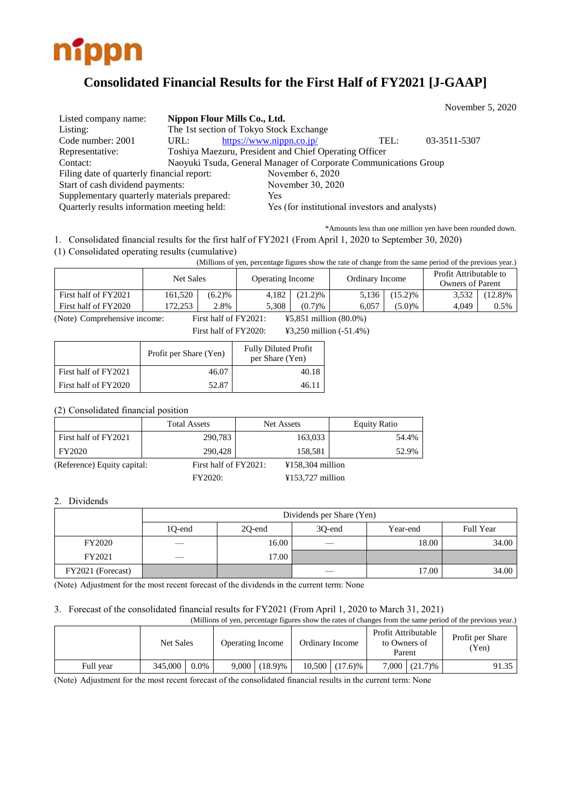

# **Consolidated Financial Results for the First Half of FY2021 [J-GAAP]**

November 5, 2020

| Listed company name:                        | Nippon Flour Mills Co., Ltd.            |                                                                  |      |              |
|---------------------------------------------|-----------------------------------------|------------------------------------------------------------------|------|--------------|
| Listing:                                    | The 1st section of Tokyo Stock Exchange |                                                                  |      |              |
| Code number: 2001                           | URL:                                    | https://www.nippn.co.jp/                                         | TEL: | 03-3511-5307 |
| Representative:                             |                                         | Toshiya Maezuru, President and Chief Operating Officer           |      |              |
| Contact:                                    |                                         | Naoyuki Tsuda, General Manager of Corporate Communications Group |      |              |
| Filing date of quarterly financial report:  |                                         | November 6, 2020                                                 |      |              |
| Start of cash dividend payments:            |                                         | November 30, 2020                                                |      |              |
| Supplementary quarterly materials prepared: |                                         | <b>Yes</b>                                                       |      |              |
| Quarterly results information meeting held: |                                         | Yes (for institutional investors and analysts)                   |      |              |

\*Amounts less than one million yen have been rounded down.

1. Consolidated financial results for the first half of FY2021 (From April 1, 2020 to September 30, 2020)

(1) Consolidated operating results (cumulative)

(Millions of yen, percentage figures show the rate of change from the same period of the previous year.)

|                      | <b>Net Sales</b> |        | <b>Operating Income</b> |            | Ordinary Income |            | Profit Attributable to<br>Owners of Parent |            |
|----------------------|------------------|--------|-------------------------|------------|-----------------|------------|--------------------------------------------|------------|
| First half of FY2021 | 161,520          | (6.2)% | 4,182                   | $(21.2)\%$ | 5,136           | $(15.2)$ % | 3,532                                      | $(12.8)\%$ |
| First half of FY2020 | 172.253          | 2.8%   | 5.308                   | (0.7)%     | 6.057           | (5.0)%     | 4.049                                      | 0.5%       |

(Note) Comprehensive income: First half of FY2021: ¥5,851 million (80.0%)

First half of FY2020: ¥3,250 million (-51.4%)

|                      | Profit per Share (Yen) | <b>Fully Diluted Profit</b><br>per Share (Yen) |
|----------------------|------------------------|------------------------------------------------|
| First half of FY2021 | 46.07                  | 40.18                                          |
| First half of FY2020 | 52.87                  | 46.11                                          |

(2) Consolidated financial position

|                             | <b>Total Assets</b>   | Net Assets         | <b>Equity Ratio</b> |
|-----------------------------|-----------------------|--------------------|---------------------|
| First half of FY2021        | 290,783               | 163,033            | 54.4%               |
| FY2020                      | 290.428               | 158.581            | 52.9%               |
| (Reference) Equity capital: | First half of FY2021: | $¥158,304$ million |                     |
|                             | FY2020:               | $¥153,727$ million |                     |

### 2. Dividends

|                   | Dividends per Share (Yen) |        |        |          |           |  |  |
|-------------------|---------------------------|--------|--------|----------|-----------|--|--|
|                   | 10-end                    | 20-end | 30-end | Year-end | Full Year |  |  |
| FY2020            |                           | 16.00  | $\sim$ | 18.00    | 34.00     |  |  |
| FY2021            | __                        | 17.00  |        |          |           |  |  |
| FY2021 (Forecast) |                           |        |        | 17.00    | 34.00     |  |  |

(Note) Adjustment for the most recent forecast of the dividends in the current term: None

## 3. Forecast of the consolidated financial results for FY2021 (From April 1, 2020 to March 31, 2021)

| (Millions of yen, percentage figures show the rates of changes from the same period of the previous year.) |           |         |                         |                 |                 |                  |                                               |                 |                           |
|------------------------------------------------------------------------------------------------------------|-----------|---------|-------------------------|-----------------|-----------------|------------------|-----------------------------------------------|-----------------|---------------------------|
|                                                                                                            | Net Sales |         | <b>Operating Income</b> |                 | Ordinary Income |                  | Profit Attributable<br>to Owners of<br>Parent |                 | Profit per Share<br>(Yen) |
| Full vear                                                                                                  | 345,000   | $0.0\%$ |                         | $9,000(18.9)\%$ |                 | $10,500$ (17.6)% |                                               | $7,000$ (21.7)% | 91.35                     |

(Note) Adjustment for the most recent forecast of the consolidated financial results in the current term: None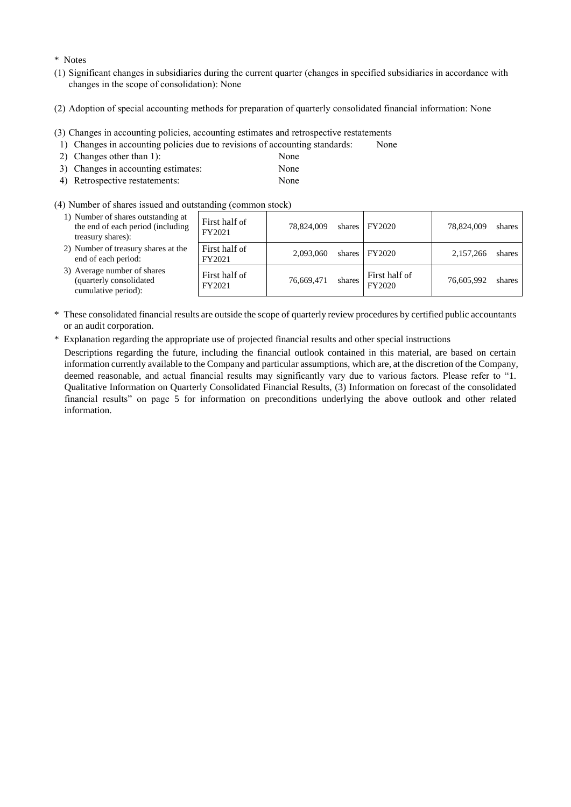#### \* Notes

- (1) Significant changes in subsidiaries during the current quarter (changes in specified subsidiaries in accordance with changes in the scope of consolidation): None
- (2) Adoption of special accounting methods for preparation of quarterly consolidated financial information: None
- (3) Changes in accounting policies, accounting estimates and retrospective restatements
- 1) Changes in accounting policies due to revisions of accounting standards: None
- 2) Changes other than 1): None
- 3) Changes in accounting estimates: None
- 4) Retrospective restatements: None
- 
- (4) Number of shares issued and outstanding (common stock)

| 1) Number of shares outstanding at<br>the end of each period (including<br>treasury shares): | First half of<br>FY2021 | 78.824,009 | shares | FY2020                  | 78.824.009 | shares |
|----------------------------------------------------------------------------------------------|-------------------------|------------|--------|-------------------------|------------|--------|
| 2) Number of treasury shares at the<br>end of each period:                                   | First half of<br>FY2021 | 2.093.060  | shares | FY2020                  | 2,157,266  | shares |
| 3) Average number of shares<br>(quarterly consolidated<br>cumulative period):                | First half of<br>FY2021 | 76,669,471 | shares | First half of<br>FY2020 | 76.605.992 | shares |

- \* These consolidated financial results are outside the scope of quarterly review procedures by certified public accountants or an audit corporation.
- \* Explanation regarding the appropriate use of projected financial results and other special instructions

Descriptions regarding the future, including the financial outlook contained in this material, are based on certain information currently available to the Company and particular assumptions, which are, at the discretion of the Company, deemed reasonable, and actual financial results may significantly vary due to various factors. Please refer to "1. Qualitative Information on Quarterly Consolidated Financial Results, (3) Information on forecast of the consolidated financial results" on page 5 for information on preconditions underlying the above outlook and other related information.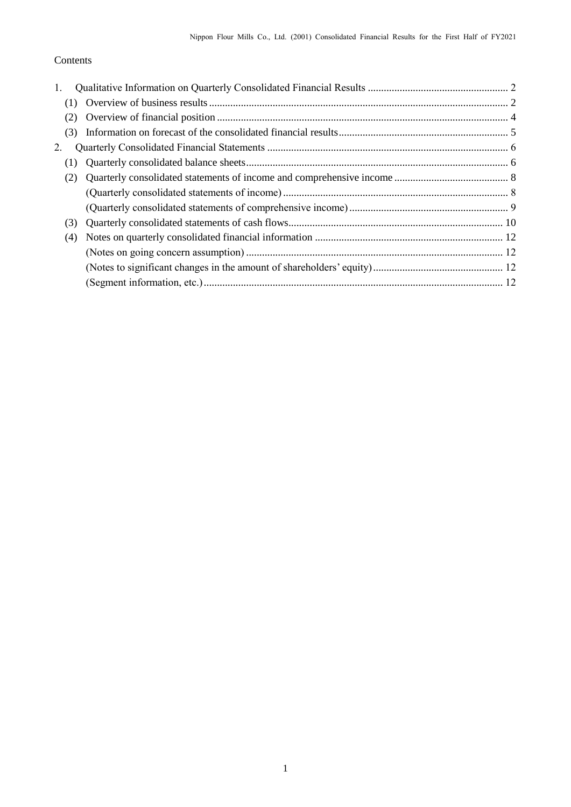## Contents

| 1.  |  |
|-----|--|
| (1) |  |
| (2) |  |
| (3) |  |
| 2.  |  |
| (1) |  |
| (2) |  |
|     |  |
|     |  |
| (3) |  |
| (4) |  |
|     |  |
|     |  |
|     |  |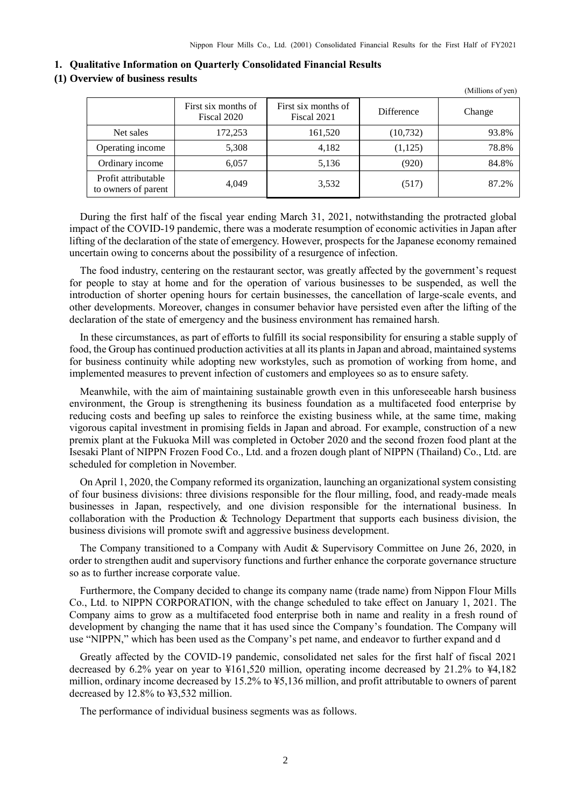(Millions of yen)

<span id="page-3-0"></span>

|  |  |  |  |  | 1. Qualitative Information on Quarterly Consolidated Financial Results |
|--|--|--|--|--|------------------------------------------------------------------------|
|--|--|--|--|--|------------------------------------------------------------------------|

### <span id="page-3-1"></span>**(1) Overview of business results**

|                                            | First six months of<br>Fiscal 2020 | First six months of<br>Fiscal 2021 | <b>Difference</b> | Change |
|--------------------------------------------|------------------------------------|------------------------------------|-------------------|--------|
| Net sales                                  | 172,253                            | 161,520                            | (10, 732)         | 93.8%  |
| Operating income                           | 5,308                              | 4,182                              | (1,125)           | 78.8%  |
| Ordinary income                            | 6,057                              | 5,136                              | (920)             | 84.8%  |
| Profit attributable<br>to owners of parent | 4.049                              | 3,532                              | (517)             | 87.2%  |

During the first half of the fiscal year ending March 31, 2021, notwithstanding the protracted global impact of the COVID-19 pandemic, there was a moderate resumption of economic activities in Japan after lifting of the declaration of the state of emergency. However, prospects for the Japanese economy remained uncertain owing to concerns about the possibility of a resurgence of infection.

The food industry, centering on the restaurant sector, was greatly affected by the government's request for people to stay at home and for the operation of various businesses to be suspended, as well the introduction of shorter opening hours for certain businesses, the cancellation of large-scale events, and other developments. Moreover, changes in consumer behavior have persisted even after the lifting of the declaration of the state of emergency and the business environment has remained harsh.

In these circumstances, as part of efforts to fulfill its social responsibility for ensuring a stable supply of food, the Group has continued production activities at all its plants in Japan and abroad, maintained systems for business continuity while adopting new workstyles, such as promotion of working from home, and implemented measures to prevent infection of customers and employees so as to ensure safety.

Meanwhile, with the aim of maintaining sustainable growth even in this unforeseeable harsh business environment, the Group is strengthening its business foundation as a multifaceted food enterprise by reducing costs and beefing up sales to reinforce the existing business while, at the same time, making vigorous capital investment in promising fields in Japan and abroad. For example, construction of a new premix plant at the Fukuoka Mill was completed in October 2020 and the second frozen food plant at the Isesaki Plant of NIPPN Frozen Food Co., Ltd. and a frozen dough plant of NIPPN (Thailand) Co., Ltd. are scheduled for completion in November.

On April 1, 2020, the Company reformed its organization, launching an organizational system consisting of four business divisions: three divisions responsible for the flour milling, food, and ready-made meals businesses in Japan, respectively, and one division responsible for the international business. In collaboration with the Production & Technology Department that supports each business division, the business divisions will promote swift and aggressive business development.

The Company transitioned to a Company with Audit & Supervisory Committee on June 26, 2020, in order to strengthen audit and supervisory functions and further enhance the corporate governance structure so as to further increase corporate value.

Furthermore, the Company decided to change its company name (trade name) from Nippon Flour Mills Co., Ltd. to NIPPN CORPORATION, with the change scheduled to take effect on January 1, 2021. The Company aims to grow as a multifaceted food enterprise both in name and reality in a fresh round of development by changing the name that it has used since the Company's foundation. The Company will use "NIPPN," which has been used as the Company's pet name, and endeavor to further expand and d

Greatly affected by the COVID-19 pandemic, consolidated net sales for the first half of fiscal 2021 decreased by 6.2% year on year to ¥161,520 million, operating income decreased by 21.2% to ¥4,182 million, ordinary income decreased by 15.2% to ¥5,136 million, and profit attributable to owners of parent decreased by 12.8% to ¥3,532 million.

The performance of individual business segments was as follows.

2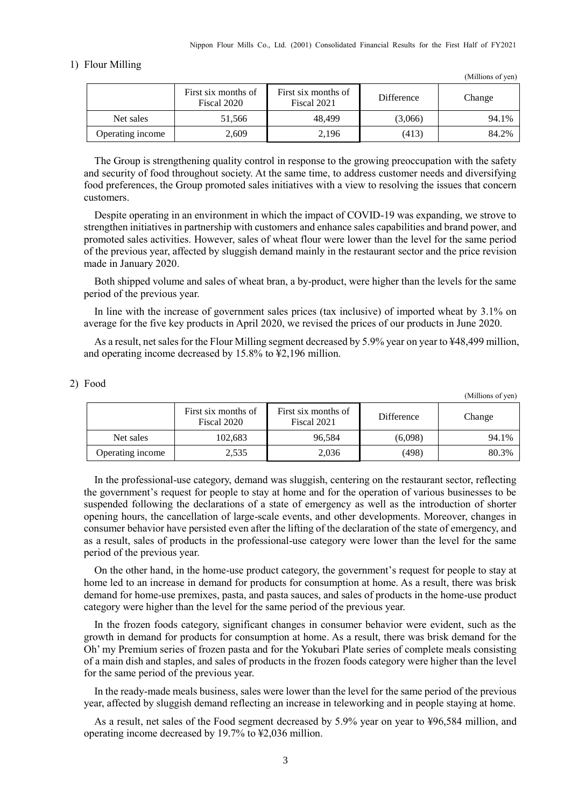#### 1) Flour Milling

|                  | First six months of<br>Fiscal 2020 | First six months of<br>Fiscal 2021 | <b>Difference</b> | Change |
|------------------|------------------------------------|------------------------------------|-------------------|--------|
| Net sales        | 51.566                             | 48.499                             | (3,066)           | 94.1%  |
| Operating income | 2,609                              | 2,196                              | (413)             | 84.2%  |

The Group is strengthening quality control in response to the growing preoccupation with the safety and security of food throughout society. At the same time, to address customer needs and diversifying food preferences, the Group promoted sales initiatives with a view to resolving the issues that concern customers.

Despite operating in an environment in which the impact of COVID-19 was expanding, we strove to strengthen initiatives in partnership with customers and enhance sales capabilities and brand power, and promoted sales activities. However, sales of wheat flour were lower than the level for the same period of the previous year, affected by sluggish demand mainly in the restaurant sector and the price revision made in January 2020.

Both shipped volume and sales of wheat bran, a by-product, were higher than the levels for the same period of the previous year.

In line with the increase of government sales prices (tax inclusive) of imported wheat by 3.1% on average for the five key products in April 2020, we revised the prices of our products in June 2020.

As a result, net sales for the Flour Milling segment decreased by 5.9% year on year to ¥48,499 million, and operating income decreased by 15.8% to ¥2,196 million.

#### 2) Food

(Millions of yen)

(Millions of yen)

|                  | First six months of<br>Fiscal 2020 | First six months of<br>Fiscal 2021 | Difference | Change |
|------------------|------------------------------------|------------------------------------|------------|--------|
| Net sales        | 102.683                            | 96.584                             | (6,098)    | 94.1%  |
| Operating income | 2,535                              | 2,036                              | (498)      | 80.3%  |

In the professional-use category, demand was sluggish, centering on the restaurant sector, reflecting the government's request for people to stay at home and for the operation of various businesses to be suspended following the declarations of a state of emergency as well as the introduction of shorter opening hours, the cancellation of large-scale events, and other developments. Moreover, changes in consumer behavior have persisted even after the lifting of the declaration of the state of emergency, and as a result, sales of products in the professional-use category were lower than the level for the same period of the previous year.

On the other hand, in the home-use product category, the government's request for people to stay at home led to an increase in demand for products for consumption at home. As a result, there was brisk demand for home-use premixes, pasta, and pasta sauces, and sales of products in the home-use product category were higher than the level for the same period of the previous year.

In the frozen foods category, significant changes in consumer behavior were evident, such as the growth in demand for products for consumption at home. As a result, there was brisk demand for the Oh' my Premium series of frozen pasta and for the Yokubari Plate series of complete meals consisting of a main dish and staples, and sales of products in the frozen foods category were higher than the level for the same period of the previous year.

In the ready-made meals business, sales were lower than the level for the same period of the previous year, affected by sluggish demand reflecting an increase in teleworking and in people staying at home.

As a result, net sales of the Food segment decreased by 5.9% year on year to ¥96,584 million, and operating income decreased by 19.7% to ¥2,036 million.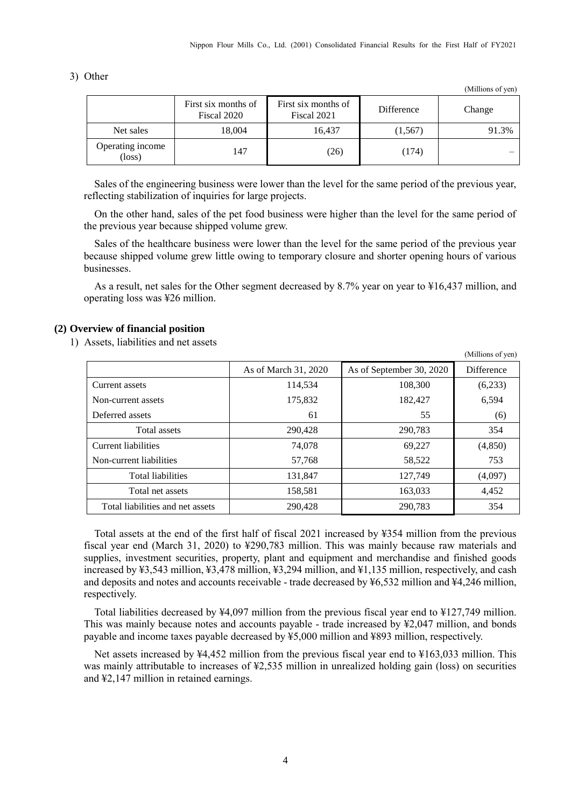3) Other

(Millions of yen)

(Millions of yen)

|                                     | First six months of<br>Fiscal 2020 | First six months of<br>Fiscal 2021 | Difference | Change |
|-------------------------------------|------------------------------------|------------------------------------|------------|--------|
| Net sales                           | 18,004                             | 16.437                             | (1,567)    | 91.3%  |
| Operating income<br>$(\text{loss})$ | 147                                | (26)                               | (174)      |        |

Sales of the engineering business were lower than the level for the same period of the previous year, reflecting stabilization of inquiries for large projects.

On the other hand, sales of the pet food business were higher than the level for the same period of the previous year because shipped volume grew.

Sales of the healthcare business were lower than the level for the same period of the previous year because shipped volume grew little owing to temporary closure and shorter opening hours of various businesses.

As a result, net sales for the Other segment decreased by 8.7% year on year to ¥16,437 million, and operating loss was ¥26 million.

#### <span id="page-5-0"></span>**(2) Overview of financial position**

1) Assets, liabilities and net assets

|                                  | As of March 31, 2020 | As of September 30, 2020 | Difference |
|----------------------------------|----------------------|--------------------------|------------|
| Current assets                   | 114,534              | 108,300                  | (6,233)    |
| Non-current assets               | 175,832              | 182,427                  | 6,594      |
| Deferred assets                  | 61                   | 55                       | (6)        |
| Total assets                     | 290,428              | 290,783                  | 354        |
| Current liabilities              | 74,078               | 69.227                   | (4, 850)   |
| Non-current liabilities          | 57,768               | 58,522                   | 753        |
| Total liabilities                | 131,847              | 127,749                  | (4,097)    |
| Total net assets                 | 158,581              | 163,033                  | 4,452      |
| Total liabilities and net assets | 290.428              | 290.783                  | 354        |

Total assets at the end of the first half of fiscal 2021 increased by ¥354 million from the previous fiscal year end (March 31, 2020) to ¥290,783 million. This was mainly because raw materials and supplies, investment securities, property, plant and equipment and merchandise and finished goods increased by ¥3,543 million, ¥3,478 million, ¥3,294 million, and ¥1,135 million, respectively, and cash and deposits and notes and accounts receivable - trade decreased by  $\frac{1}{2}6,532$  million and  $\frac{1}{2}4,246$  million, respectively.

Total liabilities decreased by ¥4,097 million from the previous fiscal year end to ¥127,749 million. This was mainly because notes and accounts payable - trade increased by ¥2,047 million, and bonds payable and income taxes payable decreased by ¥5,000 million and ¥893 million, respectively.

Net assets increased by ¥4,452 million from the previous fiscal year end to ¥163,033 million. This was mainly attributable to increases of ¥2,535 million in unrealized holding gain (loss) on securities and ¥2,147 million in retained earnings.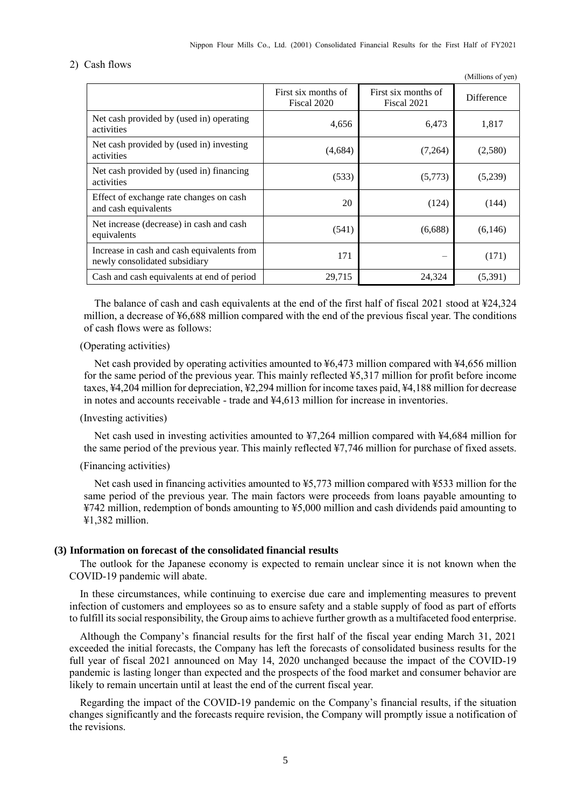#### 2) Cash flows

|                                                                             |                                    |                                    | (Millions of yen) |
|-----------------------------------------------------------------------------|------------------------------------|------------------------------------|-------------------|
|                                                                             | First six months of<br>Fiscal 2020 | First six months of<br>Fiscal 2021 | <b>Difference</b> |
| Net cash provided by (used in) operating<br>activities                      | 4,656                              | 6,473                              | 1,817             |
| Net cash provided by (used in) investing<br>activities                      | (4,684)                            | (7,264)                            | (2,580)           |
| Net cash provided by (used in) financing<br>activities                      | (533)                              | (5,773)                            | (5,239)           |
| Effect of exchange rate changes on cash<br>and cash equivalents             | 20                                 | (124)                              | (144)             |
| Net increase (decrease) in cash and cash<br>equivalents                     | (541)                              | (6,688)                            | (6,146)           |
| Increase in cash and cash equivalents from<br>newly consolidated subsidiary | 171                                |                                    | (171)             |
| Cash and cash equivalents at end of period                                  | 29,715                             | 24,324                             | (5,391)           |

The balance of cash and cash equivalents at the end of the first half of fiscal 2021 stood at  $\text{\textless{24.324}}$ million, a decrease of ¥6,688 million compared with the end of the previous fiscal year. The conditions of cash flows were as follows:

#### (Operating activities)

Net cash provided by operating activities amounted to ¥6,473 million compared with ¥4,656 million for the same period of the previous year. This mainly reflected ¥5,317 million for profit before income taxes, ¥4,204 million for depreciation, ¥2,294 million for income taxes paid, ¥4,188 million for decrease in notes and accounts receivable - trade and ¥4,613 million for increase in inventories.

### (Investing activities)

Net cash used in investing activities amounted to ¥7,264 million compared with ¥4,684 million for the same period of the previous year. This mainly reflected ¥7,746 million for purchase of fixed assets.

#### (Financing activities)

Net cash used in financing activities amounted to ¥5,773 million compared with ¥533 million for the same period of the previous year. The main factors were proceeds from loans payable amounting to ¥742 million, redemption of bonds amounting to ¥5,000 million and cash dividends paid amounting to ¥1,382 million.

#### <span id="page-6-0"></span>**(3) Information on forecast of the consolidated financial results**

The outlook for the Japanese economy is expected to remain unclear since it is not known when the COVID-19 pandemic will abate.

In these circumstances, while continuing to exercise due care and implementing measures to prevent infection of customers and employees so as to ensure safety and a stable supply of food as part of efforts to fulfill its social responsibility, the Group aims to achieve further growth as a multifaceted food enterprise.

Although the Company's financial results for the first half of the fiscal year ending March 31, 2021 exceeded the initial forecasts, the Company has left the forecasts of consolidated business results for the full year of fiscal 2021 announced on May 14, 2020 unchanged because the impact of the COVID-19 pandemic is lasting longer than expected and the prospects of the food market and consumer behavior are likely to remain uncertain until at least the end of the current fiscal year.

Regarding the impact of the COVID-19 pandemic on the Company's financial results, if the situation changes significantly and the forecasts require revision, the Company will promptly issue a notification of the revisions.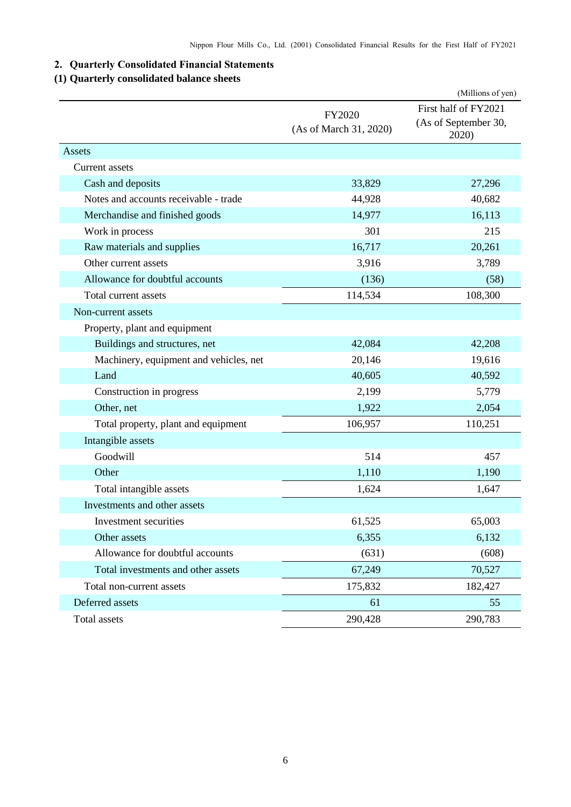## <span id="page-7-0"></span>**2. Quarterly Consolidated Financial Statements**

## <span id="page-7-1"></span>**(1) Quarterly consolidated balance sheets**

|                                        |                                  | (Millions of yen)                                     |
|----------------------------------------|----------------------------------|-------------------------------------------------------|
|                                        | FY2020<br>(As of March 31, 2020) | First half of FY2021<br>(As of September 30,<br>2020) |
| Assets                                 |                                  |                                                       |
| Current assets                         |                                  |                                                       |
| Cash and deposits                      | 33,829                           | 27,296                                                |
| Notes and accounts receivable - trade  | 44,928                           | 40,682                                                |
| Merchandise and finished goods         | 14,977                           | 16,113                                                |
| Work in process                        | 301                              | 215                                                   |
| Raw materials and supplies             | 16,717                           | 20,261                                                |
| Other current assets                   | 3,916                            | 3,789                                                 |
| Allowance for doubtful accounts        | (136)                            | (58)                                                  |
| Total current assets                   | 114,534                          | 108,300                                               |
| Non-current assets                     |                                  |                                                       |
| Property, plant and equipment          |                                  |                                                       |
| Buildings and structures, net          | 42,084                           | 42,208                                                |
| Machinery, equipment and vehicles, net | 20,146                           | 19,616                                                |
| Land                                   | 40,605                           | 40,592                                                |
| Construction in progress               | 2,199                            | 5,779                                                 |
| Other, net                             | 1,922                            | 2,054                                                 |
| Total property, plant and equipment    | 106,957                          | 110,251                                               |
| Intangible assets                      |                                  |                                                       |
| Goodwill                               | 514                              | 457                                                   |
| Other                                  | 1,110                            | 1,190                                                 |
| Total intangible assets                | 1,624                            | 1,647                                                 |
| Investments and other assets           |                                  |                                                       |
| Investment securities                  | 61,525                           | 65,003                                                |
| Other assets                           | 6,355                            | 6,132                                                 |
| Allowance for doubtful accounts        | (631)                            | (608)                                                 |
| Total investments and other assets     | 67,249                           | 70,527                                                |
| Total non-current assets               | 175,832                          | 182,427                                               |
| Deferred assets                        | 61                               | 55                                                    |
| Total assets                           | 290,428                          | 290,783                                               |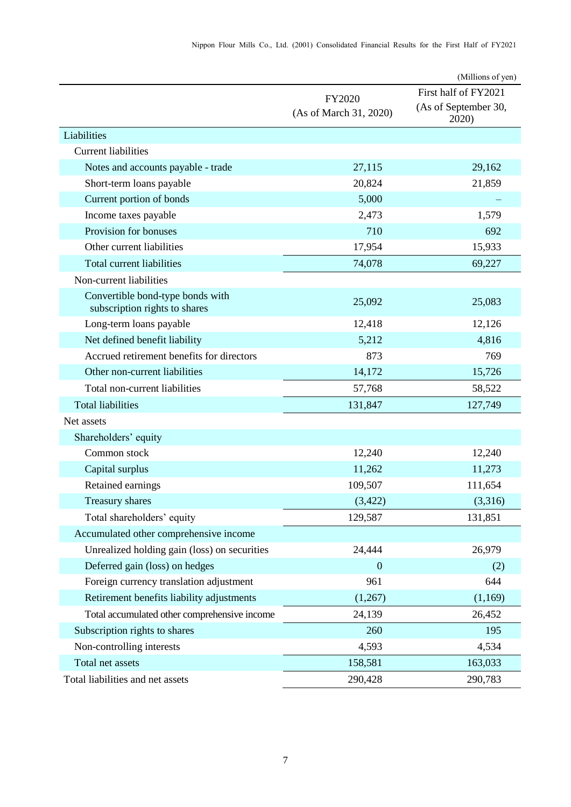|                                                                   |                                         | (Millions of yen)                                     |
|-------------------------------------------------------------------|-----------------------------------------|-------------------------------------------------------|
|                                                                   | <b>FY2020</b><br>(As of March 31, 2020) | First half of FY2021<br>(As of September 30,<br>2020) |
| Liabilities                                                       |                                         |                                                       |
| <b>Current liabilities</b>                                        |                                         |                                                       |
| Notes and accounts payable - trade                                | 27,115                                  | 29,162                                                |
| Short-term loans payable                                          | 20,824                                  | 21,859                                                |
| Current portion of bonds                                          | 5,000                                   |                                                       |
| Income taxes payable                                              | 2,473                                   | 1,579                                                 |
| Provision for bonuses                                             | 710                                     | 692                                                   |
| Other current liabilities                                         | 17,954                                  | 15,933                                                |
| <b>Total current liabilities</b>                                  | 74,078                                  | 69,227                                                |
| Non-current liabilities                                           |                                         |                                                       |
| Convertible bond-type bonds with<br>subscription rights to shares | 25,092                                  | 25,083                                                |
| Long-term loans payable                                           | 12,418                                  | 12,126                                                |
| Net defined benefit liability                                     | 5,212                                   | 4,816                                                 |
| Accrued retirement benefits for directors                         | 873                                     | 769                                                   |
| Other non-current liabilities                                     | 14,172                                  | 15,726                                                |
| Total non-current liabilities                                     | 57,768                                  | 58,522                                                |
| <b>Total liabilities</b>                                          | 131,847                                 | 127,749                                               |
| Net assets                                                        |                                         |                                                       |
| Shareholders' equity                                              |                                         |                                                       |
| Common stock                                                      | 12,240                                  | 12,240                                                |
| Capital surplus                                                   | 11,262                                  | 11,273                                                |
| Retained earnings                                                 | 109,507                                 | 111,654                                               |
| Treasury shares                                                   | (3, 422)                                | (3,316)                                               |
| Total shareholders' equity                                        | 129,587                                 | 131,851                                               |
| Accumulated other comprehensive income                            |                                         |                                                       |
| Unrealized holding gain (loss) on securities                      | 24,444                                  | 26,979                                                |
| Deferred gain (loss) on hedges                                    | $\overline{0}$                          | (2)                                                   |
| Foreign currency translation adjustment                           | 961                                     | 644                                                   |
| Retirement benefits liability adjustments                         | (1,267)                                 | (1,169)                                               |
| Total accumulated other comprehensive income                      | 24,139                                  | 26,452                                                |
| Subscription rights to shares                                     | 260                                     | 195                                                   |
| Non-controlling interests                                         | 4,593                                   | 4,534                                                 |
| Total net assets                                                  | 158,581                                 | 163,033                                               |
| Total liabilities and net assets                                  | 290,428                                 | 290,783                                               |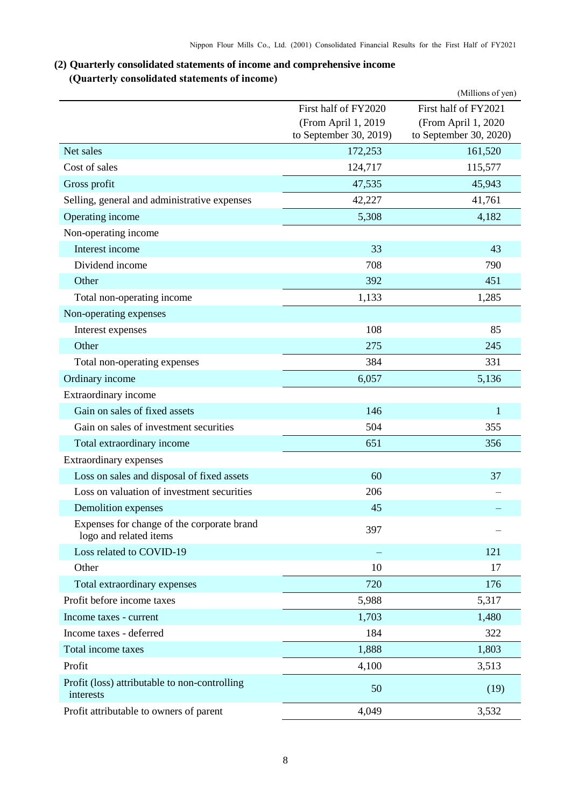## <span id="page-9-1"></span><span id="page-9-0"></span>**(2) Quarterly consolidated statements of income and comprehensive income (Quarterly consolidated statements of income)**

|                                                                      |                                               | (Millions of yen)                             |
|----------------------------------------------------------------------|-----------------------------------------------|-----------------------------------------------|
|                                                                      | First half of FY2020                          | First half of FY2021                          |
|                                                                      | (From April 1, 2019<br>to September 30, 2019) | (From April 1, 2020<br>to September 30, 2020) |
| Net sales                                                            | 172,253                                       | 161,520                                       |
| Cost of sales                                                        | 124,717                                       | 115,577                                       |
| Gross profit                                                         | 47,535                                        | 45,943                                        |
| Selling, general and administrative expenses                         | 42,227                                        | 41,761                                        |
| Operating income                                                     | 5,308                                         | 4,182                                         |
| Non-operating income                                                 |                                               |                                               |
| Interest income                                                      | 33                                            | 43                                            |
| Dividend income                                                      | 708                                           | 790                                           |
| Other                                                                | 392                                           | 451                                           |
| Total non-operating income                                           | 1,133                                         | 1,285                                         |
| Non-operating expenses                                               |                                               |                                               |
| Interest expenses                                                    | 108                                           | 85                                            |
| Other                                                                | 275                                           | 245                                           |
| Total non-operating expenses                                         | 384                                           | 331                                           |
| Ordinary income                                                      | 6,057                                         | 5,136                                         |
| Extraordinary income                                                 |                                               |                                               |
| Gain on sales of fixed assets                                        | 146                                           | 1                                             |
| Gain on sales of investment securities                               | 504                                           | 355                                           |
| Total extraordinary income                                           | 651                                           | 356                                           |
| Extraordinary expenses                                               |                                               |                                               |
| Loss on sales and disposal of fixed assets                           | 60                                            | 37                                            |
| Loss on valuation of investment securities                           | 206                                           |                                               |
| Demolition expenses                                                  | 45                                            |                                               |
| Expenses for change of the corporate brand<br>logo and related items | 397                                           |                                               |
| Loss related to COVID-19                                             |                                               | 121                                           |
| Other                                                                | 10                                            | 17                                            |
| Total extraordinary expenses                                         | 720                                           | 176                                           |
| Profit before income taxes                                           | 5,988                                         | 5,317                                         |
| Income taxes - current                                               | 1,703                                         | 1,480                                         |
| Income taxes - deferred                                              | 184                                           | 322                                           |
| Total income taxes                                                   | 1,888                                         | 1,803                                         |
| Profit                                                               | 4,100                                         | 3,513                                         |
| Profit (loss) attributable to non-controlling<br>interests           | 50                                            | (19)                                          |
| Profit attributable to owners of parent                              | 4,049                                         | 3,532                                         |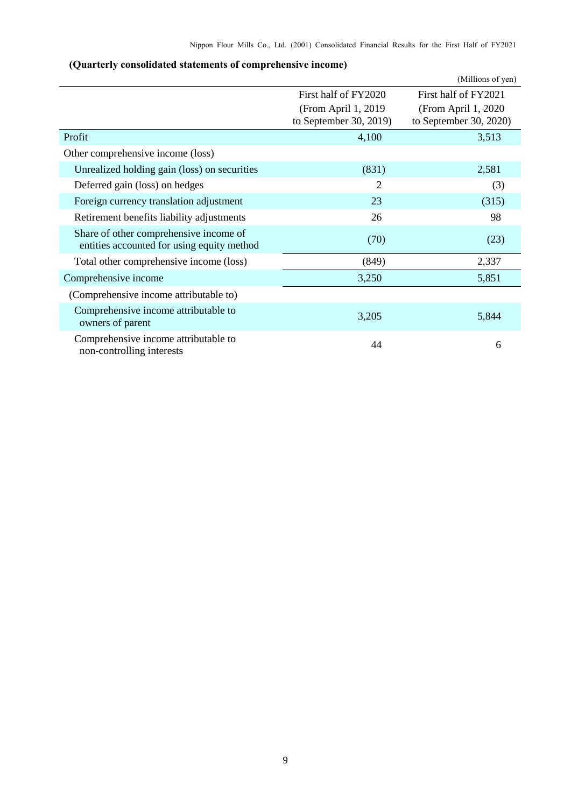| (Quarterly consolidated statements of comprehensive income) |  |
|-------------------------------------------------------------|--|
|-------------------------------------------------------------|--|

<span id="page-10-0"></span>

|                                                                                      |                        | (Millions of yen)      |
|--------------------------------------------------------------------------------------|------------------------|------------------------|
|                                                                                      | First half of FY2020   | First half of FY2021   |
|                                                                                      | (From April 1, 2019)   | (From April 1, 2020)   |
|                                                                                      | to September 30, 2019) | to September 30, 2020) |
| Profit                                                                               | 4,100                  | 3,513                  |
| Other comprehensive income (loss)                                                    |                        |                        |
| Unrealized holding gain (loss) on securities                                         | (831)                  | 2,581                  |
| Deferred gain (loss) on hedges                                                       | 2                      | (3)                    |
| Foreign currency translation adjustment                                              | 23                     | (315)                  |
| Retirement benefits liability adjustments                                            | 26                     | 98                     |
| Share of other comprehensive income of<br>entities accounted for using equity method | (70)                   | (23)                   |
| Total other comprehensive income (loss)                                              | (849)                  | 2,337                  |
| Comprehensive income                                                                 | 3,250                  | 5,851                  |
| (Comprehensive income attributable to)                                               |                        |                        |
| Comprehensive income attributable to<br>owners of parent                             | 3,205                  | 5,844                  |
| Comprehensive income attributable to<br>non-controlling interests                    | 44                     | 6                      |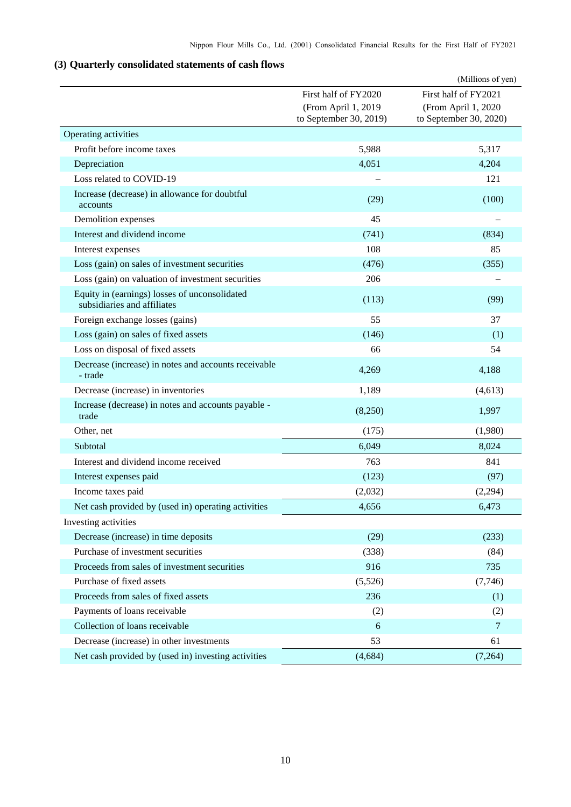## <span id="page-11-0"></span>**(3) Quarterly consolidated statements of cash flows**

|                                                                              |                                               | (Millions of yen)                             |
|------------------------------------------------------------------------------|-----------------------------------------------|-----------------------------------------------|
|                                                                              | First half of FY2020                          | First half of FY2021                          |
|                                                                              | (From April 1, 2019<br>to September 30, 2019) | (From April 1, 2020<br>to September 30, 2020) |
| Operating activities                                                         |                                               |                                               |
| Profit before income taxes                                                   | 5,988                                         | 5,317                                         |
| Depreciation                                                                 | 4,051                                         | 4,204                                         |
| Loss related to COVID-19                                                     |                                               | 121                                           |
| Increase (decrease) in allowance for doubtful<br>accounts                    | (29)                                          | (100)                                         |
| Demolition expenses                                                          | 45                                            |                                               |
| Interest and dividend income                                                 | (741)                                         | (834)                                         |
| Interest expenses                                                            | 108                                           | 85                                            |
| Loss (gain) on sales of investment securities                                | (476)                                         | (355)                                         |
| Loss (gain) on valuation of investment securities                            | 206                                           |                                               |
| Equity in (earnings) losses of unconsolidated<br>subsidiaries and affiliates | (113)                                         | (99)                                          |
| Foreign exchange losses (gains)                                              | 55                                            | 37                                            |
| Loss (gain) on sales of fixed assets                                         | (146)                                         | (1)                                           |
| Loss on disposal of fixed assets                                             | 66                                            | 54                                            |
| Decrease (increase) in notes and accounts receivable<br>- trade              | 4,269                                         | 4,188                                         |
| Decrease (increase) in inventories                                           | 1,189                                         | (4, 613)                                      |
| Increase (decrease) in notes and accounts payable -<br>trade                 | (8,250)                                       | 1,997                                         |
| Other, net                                                                   | (175)                                         | (1,980)                                       |
| Subtotal                                                                     | 6,049                                         | 8,024                                         |
| Interest and dividend income received                                        | 763                                           | 841                                           |
| Interest expenses paid                                                       | (123)                                         | (97)                                          |
| Income taxes paid                                                            | (2,032)                                       | (2,294)                                       |
| Net cash provided by (used in) operating activities                          | 4,656                                         | 6,473                                         |
| Investing activities                                                         |                                               |                                               |
| Decrease (increase) in time deposits                                         | (29)                                          | (233)                                         |
| Purchase of investment securities                                            | (338)                                         | (84)                                          |
| Proceeds from sales of investment securities                                 | 916                                           | 735                                           |
| Purchase of fixed assets                                                     | (5,526)                                       | (7,746)                                       |
| Proceeds from sales of fixed assets                                          | 236                                           | (1)                                           |
| Payments of loans receivable                                                 | (2)                                           | (2)                                           |
| Collection of loans receivable                                               | 6                                             | $\overline{7}$                                |
| Decrease (increase) in other investments                                     | 53                                            | 61                                            |
| Net cash provided by (used in) investing activities                          | (4, 684)                                      | (7,264)                                       |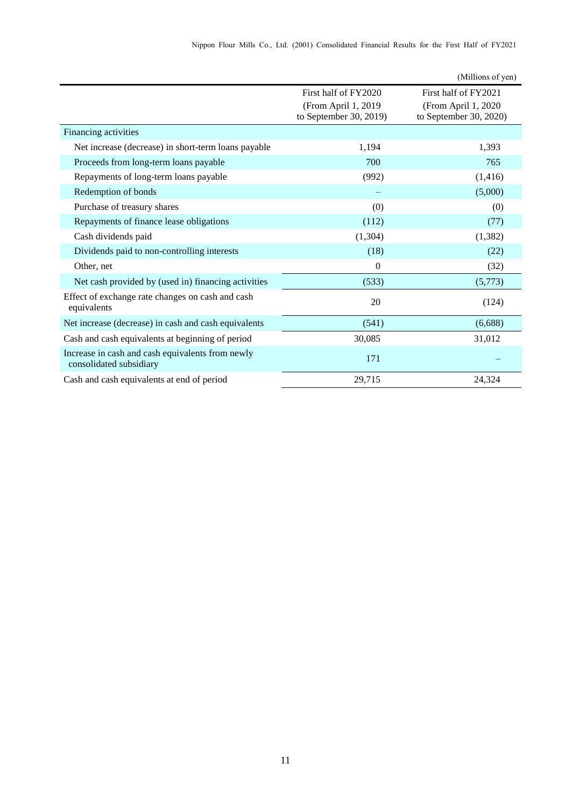|                                                                             |                                                | (Millions of yen)                             |
|-----------------------------------------------------------------------------|------------------------------------------------|-----------------------------------------------|
|                                                                             | First half of FY2020                           | First half of FY2021                          |
|                                                                             | (From April 1, 2019)<br>to September 30, 2019) | (From April 1, 2020<br>to September 30, 2020) |
| Financing activities                                                        |                                                |                                               |
| Net increase (decrease) in short-term loans payable                         | 1,194                                          | 1,393                                         |
| Proceeds from long-term loans payable                                       | 700                                            | 765                                           |
| Repayments of long-term loans payable                                       | (992)                                          | (1,416)                                       |
| Redemption of bonds                                                         |                                                | (5,000)                                       |
| Purchase of treasury shares                                                 | (0)                                            | (0)                                           |
| Repayments of finance lease obligations                                     | (112)                                          | (77)                                          |
| Cash dividends paid                                                         | (1, 304)                                       | (1, 382)                                      |
| Dividends paid to non-controlling interests                                 | (18)                                           | (22)                                          |
| Other, net                                                                  | $\theta$                                       | (32)                                          |
| Net cash provided by (used in) financing activities                         | (533)                                          | (5,773)                                       |
| Effect of exchange rate changes on cash and cash<br>equivalents             | 20                                             | (124)                                         |
| Net increase (decrease) in cash and cash equivalents                        | (541)                                          | (6,688)                                       |
| Cash and cash equivalents at beginning of period                            | 30,085                                         | 31,012                                        |
| Increase in cash and cash equivalents from newly<br>consolidated subsidiary | 171                                            |                                               |
| Cash and cash equivalents at end of period                                  | 29,715                                         | 24,324                                        |